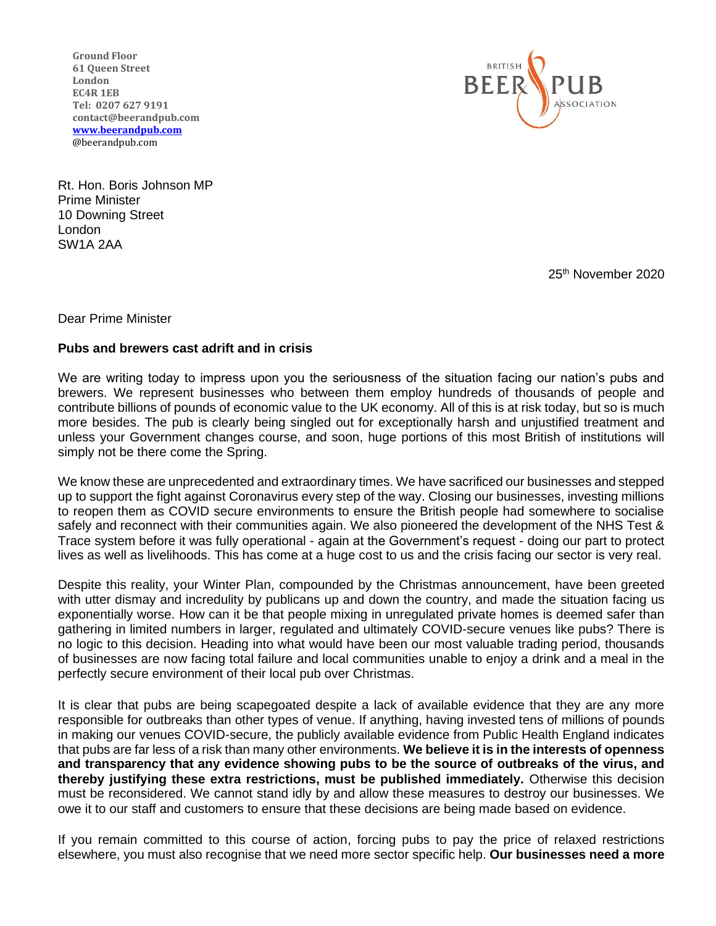**Ground Floor 61 Queen Street London EC4R 1EB Tel: 0207 627 9191 [contact@beerandpub.com](mailto:contact@beerandpub.com) [www.beerandpub.com](http://www.beerandpub.com/)** @beerandpub.com



Rt. Hon. Boris Johnson MP Prime Minister 10 Downing Street London SW1A 2AA

25th November 2020

Dear Prime Minister

## **Pubs and brewers cast adrift and in crisis**

We are writing today to impress upon you the seriousness of the situation facing our nation's pubs and brewers. We represent businesses who between them employ hundreds of thousands of people and contribute billions of pounds of economic value to the UK economy. All of this is at risk today, but so is much more besides. The pub is clearly being singled out for exceptionally harsh and unjustified treatment and unless your Government changes course, and soon, huge portions of this most British of institutions will simply not be there come the Spring.

We know these are unprecedented and extraordinary times. We have sacrificed our businesses and stepped up to support the fight against Coronavirus every step of the way. Closing our businesses, investing millions to reopen them as COVID secure environments to ensure the British people had somewhere to socialise safely and reconnect with their communities again. We also pioneered the development of the NHS Test & Trace system before it was fully operational - again at the Government's request - doing our part to protect lives as well as livelihoods. This has come at a huge cost to us and the crisis facing our sector is very real.

Despite this reality, your Winter Plan, compounded by the Christmas announcement, have been greeted with utter dismay and incredulity by publicans up and down the country, and made the situation facing us exponentially worse. How can it be that people mixing in unregulated private homes is deemed safer than gathering in limited numbers in larger, regulated and ultimately COVID-secure venues like pubs? There is no logic to this decision. Heading into what would have been our most valuable trading period, thousands of businesses are now facing total failure and local communities unable to enjoy a drink and a meal in the perfectly secure environment of their local pub over Christmas.

It is clear that pubs are being scapegoated despite a lack of available evidence that they are any more responsible for outbreaks than other types of venue. If anything, having invested tens of millions of pounds in making our venues COVID-secure, the publicly available evidence from Public Health England indicates that pubs are far less of a risk than many other environments. **We believe it is in the interests of openness and transparency that any evidence showing pubs to be the source of outbreaks of the virus, and thereby justifying these extra restrictions, must be published immediately.** Otherwise this decision must be reconsidered. We cannot stand idly by and allow these measures to destroy our businesses. We owe it to our staff and customers to ensure that these decisions are being made based on evidence.

If you remain committed to this course of action, forcing pubs to pay the price of relaxed restrictions elsewhere, you must also recognise that we need more sector specific help. **Our businesses need a more**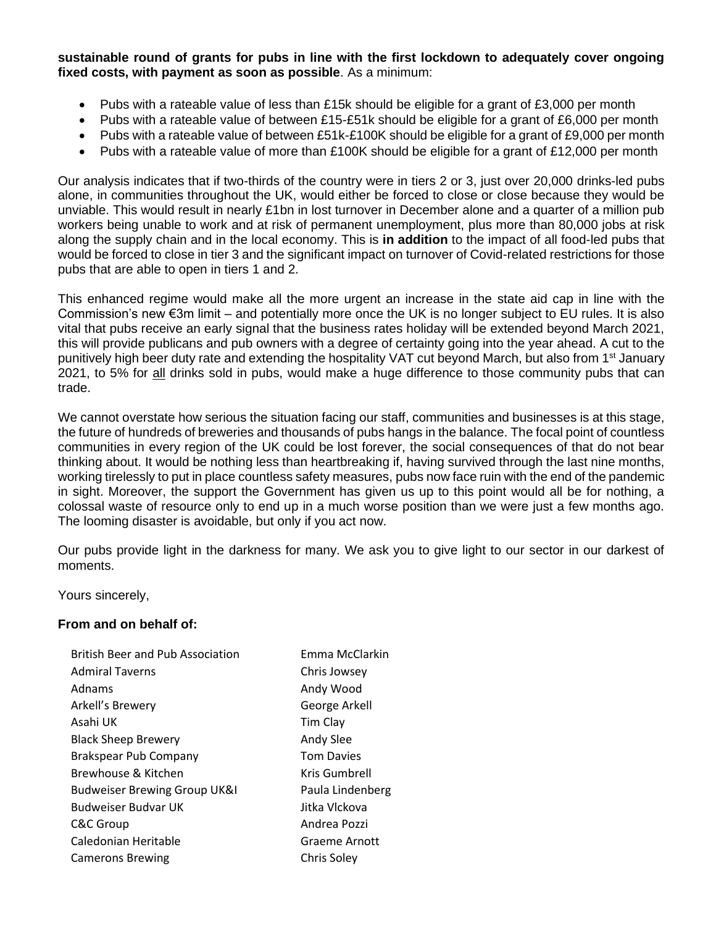**sustainable round of grants for pubs in line with the first lockdown to adequately cover ongoing fixed costs, with payment as soon as possible**. As a minimum:

- Pubs with a rateable value of less than £15k should be eligible for a grant of £3,000 per month
- Pubs with a rateable value of between £15-£51k should be eligible for a grant of £6,000 per month
- Pubs with a rateable value of between £51k-£100K should be eligible for a grant of £9,000 per month
- Pubs with a rateable value of more than £100K should be eligible for a grant of £12,000 per month

Our analysis indicates that if two-thirds of the country were in tiers 2 or 3, just over 20,000 drinks-led pubs alone, in communities throughout the UK, would either be forced to close or close because they would be unviable. This would result in nearly £1bn in lost turnover in December alone and a quarter of a million pub workers being unable to work and at risk of permanent unemployment, plus more than 80,000 jobs at risk along the supply chain and in the local economy. This is **in addition** to the impact of all food-led pubs that would be forced to close in tier 3 and the significant impact on turnover of Covid-related restrictions for those pubs that are able to open in tiers 1 and 2.

This enhanced regime would make all the more urgent an increase in the state aid cap in line with the Commission's new €3m limit – and potentially more once the UK is no longer subject to EU rules. It is also vital that pubs receive an early signal that the business rates holiday will be extended beyond March 2021, this will provide publicans and pub owners with a degree of certainty going into the year ahead. A cut to the punitively high beer duty rate and extending the hospitality VAT cut beyond March, but also from 1<sup>st</sup> January 2021, to 5% for all drinks sold in pubs, would make a huge difference to those community pubs that can trade.

We cannot overstate how serious the situation facing our staff, communities and businesses is at this stage, the future of hundreds of breweries and thousands of pubs hangs in the balance. The focal point of countless communities in every region of the UK could be lost forever, the social consequences of that do not bear thinking about. It would be nothing less than heartbreaking if, having survived through the last nine months, working tirelessly to put in place countless safety measures, pubs now face ruin with the end of the pandemic in sight. Moreover, the support the Government has given us up to this point would all be for nothing, a colossal waste of resource only to end up in a much worse position than we were just a few months ago. The looming disaster is avoidable, but only if you act now.

Our pubs provide light in the darkness for many. We ask you to give light to our sector in our darkest of moments.

Yours sincerely,

## **From and on behalf of:**

| <b>British Beer and Pub Association</b> | Emma McClarkin    |
|-----------------------------------------|-------------------|
| <b>Admiral Taverns</b>                  | Chris Jowsey      |
| Adnams                                  | Andy Wood         |
| Arkell's Brewery                        | George Arkell     |
| Asahi UK                                | Tim Clay          |
| <b>Black Sheep Brewery</b>              | Andy Slee         |
| Brakspear Pub Company                   | <b>Tom Davies</b> |
| Brewhouse & Kitchen                     | Kris Gumbrell     |
| <b>Budweiser Brewing Group UK&amp;I</b> | Paula Lindenberg  |
| <b>Budweiser Budvar UK</b>              | Jitka Vlckova     |
| C&C Group                               | Andrea Pozzi      |
| Caledonian Heritable                    | Graeme Arnott     |
| <b>Camerons Brewing</b>                 | Chris Soley       |